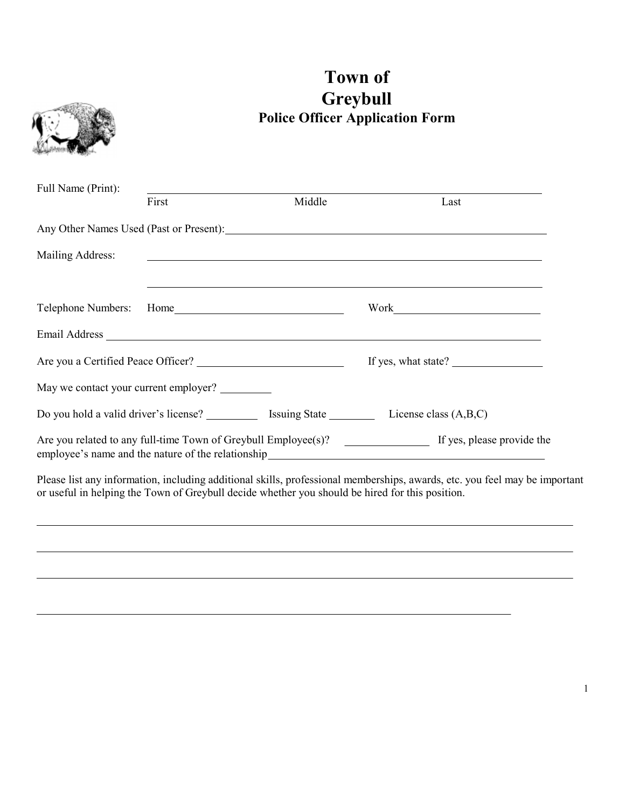

Please list any information, including additional skills, professional memberships, awards, etc. you feel may be important or useful in helping the Town of Greybull decide whether you should be hired for this position.

# **Town of**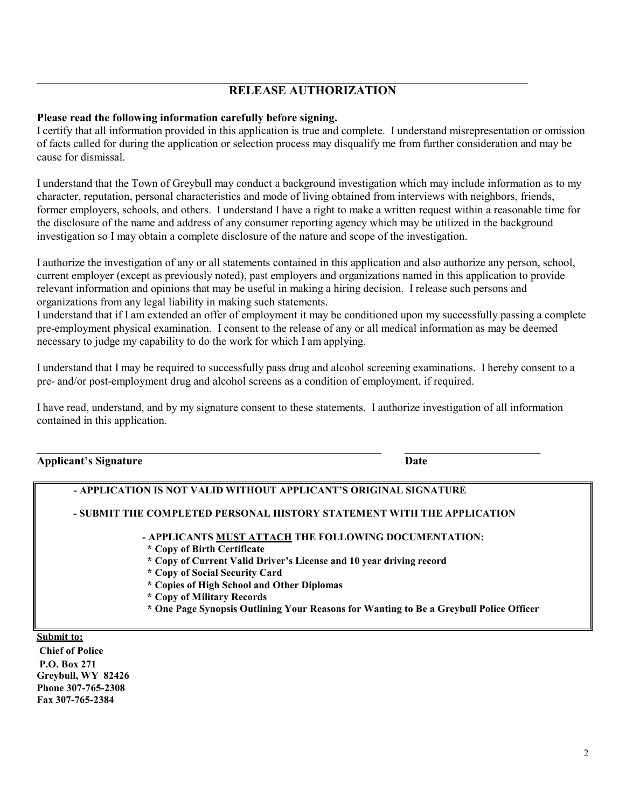# **RELEASE AUTHORIZATION**

#### **Please read the following information carefully before signing.**

I certify that all information provided in this application is true and complete. I understand misrepresentation or omission of facts called for during the application or selection process may disqualify me from further consideration and may be cause for dismissal.

I understand that the Town of Greybull may conduct a background investigation which may include information as to my character, reputation, personal characteristics and mode of living obtained from interviews with neighbors, friends, former employers, schools, and others. I understand I have a right to make a written request within a reasonable time for the disclosure of the name and address of any consumer reporting agency which may be utilized in the background investigation so I may obtain a complete disclosure of the nature and scope of the investigation.

I authorize the investigation of any or all statements contained in this application and also authorize any person, school, current employer (except as previously noted), past employers and organizations named in this application to provide relevant information and opinions that may be useful in making a hiring decision. I release such persons and organizations from any legal liability in making such statements.

I understand that if I am extended an offer of employment it may be conditioned upon my successfully passing a complete pre-employment physical examination. I consent to the release of any or all medical information as may be deemed necessary to judge my capability to do the work for which I am applying.

I understand that I may be required to successfully pass drug and alcohol screening examinations. I hereby consent to a pre- and/or post-employment drug and alcohol screens as a condition of employment, if required.

I have read, understand, and by my signature consent to these statements. I authorize investigation of all information contained in this application.

#### **Applicant's Signature Date**

**Fax 307-765-2384**

|                                                          | - APPLICATION IS NOT VALID WITHOUT APPLICANT'S ORIGINAL SIGNATURE                                                                                                                                                                                                                                                                                                   |
|----------------------------------------------------------|---------------------------------------------------------------------------------------------------------------------------------------------------------------------------------------------------------------------------------------------------------------------------------------------------------------------------------------------------------------------|
|                                                          | - SUBMIT THE COMPLETED PERSONAL HISTORY STATEMENT WITH THE APPLICATION                                                                                                                                                                                                                                                                                              |
|                                                          | - APPLICANTS MUST ATTACH THE FOLLOWING DOCUMENTATION:<br>* Copy of Birth Certificate<br>* Copy of Current Valid Driver's License and 10 year driving record<br>* Copy of Social Security Card<br>* Copies of High School and Other Diplomas<br>* Copy of Military Records<br>* One Page Synopsis Outlining Your Reasons for Wanting to Be a Greybull Police Officer |
| Submit to:<br><b>Chief of Police</b>                     |                                                                                                                                                                                                                                                                                                                                                                     |
| P.O. Box 271<br>Greybull, WY 82426<br>Phone 307-765-2308 |                                                                                                                                                                                                                                                                                                                                                                     |

2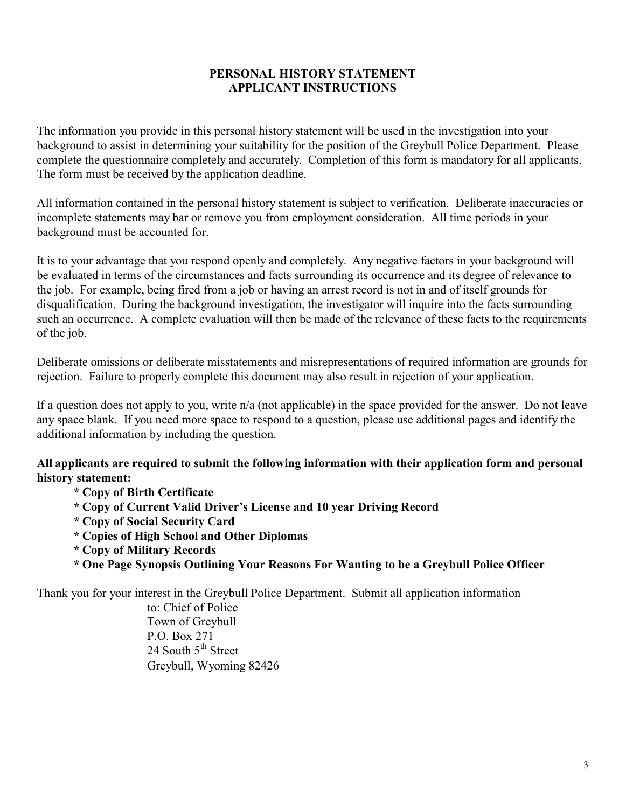# **PERSONAL HISTORY STATEMENT APPLICANT INSTRUCTIONS**

The information you provide in this personal history statement will be used in the investigation into your background to assist in determining your suitability for the position of the Greybull Police Department. Please complete the questionnaire completely and accurately. Completion of this form is mandatory for all applicants. The form must be received by the application deadline.

All information contained in the personal history statement is subject to verification. Deliberate inaccuracies or incomplete statements may bar or remove you from employment consideration. All time periods in your background must be accounted for.

It is to your advantage that you respond openly and completely. Any negative factors in your background will be evaluated in terms of the circumstances and facts surrounding its occurrence and its degree of relevance to the job. For example, being fired from a job or having an arrest record is not in and of itself grounds for disqualification. During the background investigation, the investigator will inquire into the facts surrounding such an occurrence. A complete evaluation will then be made of the relevance of these facts to the requirements of the job.

Deliberate omissions or deliberate misstatements and misrepresentations of required information are grounds for rejection. Failure to properly complete this document may also result in rejection of your application.

If a question does not apply to you, write n/a (not applicable) in the space provided for the answer. Do not leave any space blank. If you need more space to respond to a question, please use additional pages and identify the additional information by including the question.

# **All applicants are required to submit the following information with their application form and personal history statement:**

- **\* Copy of Birth Certificate**
- **\* Copy of Current Valid Driver's License and 10 year Driving Record**
- **\* Copy of Social Security Card**
- **\* Copies of High School and Other Diplomas**
- **\* Copy of Military Records**
- **\* One Page Synopsis Outlining Your Reasons For Wanting to be a Greybull Police Officer**

Thank you for your interest in the Greybull Police Department. Submit all application information

to: Chief of Police Town of Greybull P.O. Box 271 24 South  $5<sup>th</sup>$  Street Greybull, Wyoming 82426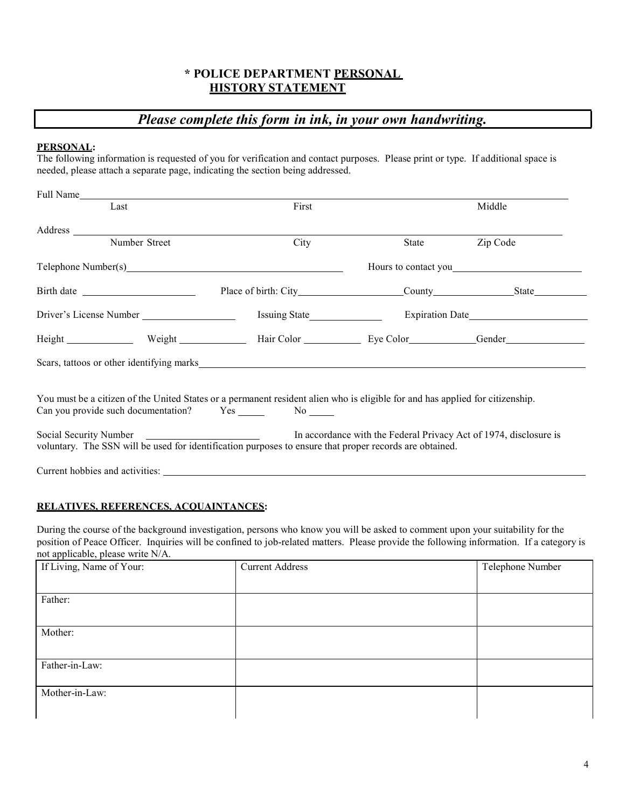# **\* POLICE DEPARTMENT PERSONAL HISTORY STATEMENT**

# *Please complete this form in ink, in your own handwriting.*

#### **PERSONAL:**

The following information is requested of you for verification and contact purposes. Please print or type. If additional space is needed, please attach a separate page, indicating the section being addressed.

| Full Name                                                                                                                                                                                                                      |       |       |                      |
|--------------------------------------------------------------------------------------------------------------------------------------------------------------------------------------------------------------------------------|-------|-------|----------------------|
| Last                                                                                                                                                                                                                           | First |       | Middle               |
|                                                                                                                                                                                                                                |       |       |                      |
| Number Street                                                                                                                                                                                                                  | City  | State | Zip Code             |
| Telephone Number(s) example and the state of the state of the state of the state of the state of the state of the state of the state of the state of the state of the state of the state of the state of the state of the stat |       |       | Hours to contact you |
|                                                                                                                                                                                                                                |       |       |                      |
|                                                                                                                                                                                                                                |       |       |                      |
| Height Weight Weight Hair Color Eye Color Gender General Haven Neight Neight Neight Neight Neight Neight Neight Neight Neight Neight Neight Neight Neight Neight Neight Neight Neight Neight Neight Neight Neight Neight Neigh |       |       |                      |
| Scars, tattoos or other identifying marks experience of the state of the state of the state of the state of the state of the state of the state of the state of the state of the state of the state of the state of the state  |       |       |                      |
| You must be a citizen of the United States or a permanent resident alien who is eligible for and has applied for citizenship.                                                                                                  |       |       |                      |
| Social Security Number <b>Example 2</b> In accordance with the Federal Privacy Act of 1974, disclosure is<br>voluntary. The SSN will be used for identification purposes to ensure that proper records are obtained.           |       |       |                      |
|                                                                                                                                                                                                                                |       |       |                      |

#### **RELATIVES, REFERENCES, ACQUAINTANCES:**

During the course of the background investigation, persons who know you will be asked to comment upon your suitability for the position of Peace Officer. Inquiries will be confined to job-related matters. Please provide the following information. If a category is not applicable, please write N/A.

| $\sim$ $\sim$<br>If Living, Name of Your: | <b>Current Address</b> | Telephone Number |
|-------------------------------------------|------------------------|------------------|
|                                           |                        |                  |
| Father:                                   |                        |                  |
|                                           |                        |                  |
| Mother:                                   |                        |                  |
|                                           |                        |                  |
| Father-in-Law:                            |                        |                  |
|                                           |                        |                  |
| Mother-in-Law:                            |                        |                  |
|                                           |                        |                  |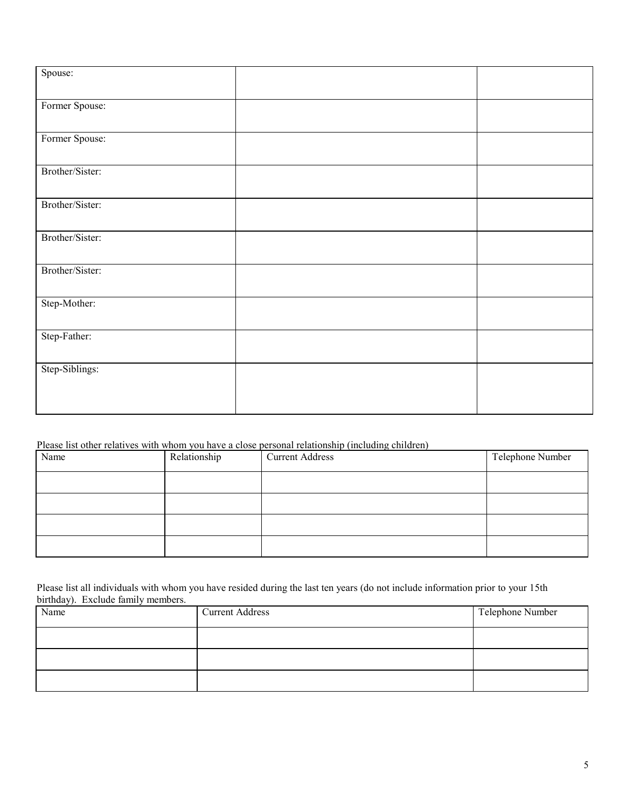| Spouse:         |  |
|-----------------|--|
|                 |  |
| Former Spouse:  |  |
|                 |  |
| Former Spouse:  |  |
|                 |  |
| Brother/Sister: |  |
|                 |  |
| Brother/Sister: |  |
|                 |  |
| Brother/Sister: |  |
| Brother/Sister: |  |
|                 |  |
| Step-Mother:    |  |
|                 |  |
| Step-Father:    |  |
|                 |  |
| Step-Siblings:  |  |
|                 |  |
|                 |  |
|                 |  |

### Please list other relatives with whom you have a close personal relationship (including children)

| Name | Relationship | $\sim$ $\sim$<br>$\overline{\phantom{a}}$<br><b>Current Address</b> | Telephone Number |
|------|--------------|---------------------------------------------------------------------|------------------|
|      |              |                                                                     |                  |
|      |              |                                                                     |                  |
|      |              |                                                                     |                  |
|      |              |                                                                     |                  |

Please list all individuals with whom you have resided during the last ten years (do not include information prior to your 15th birthday). Exclude family members.

| Name | <b>Current Address</b> | Telephone Number |
|------|------------------------|------------------|
|      |                        |                  |
|      |                        |                  |
|      |                        |                  |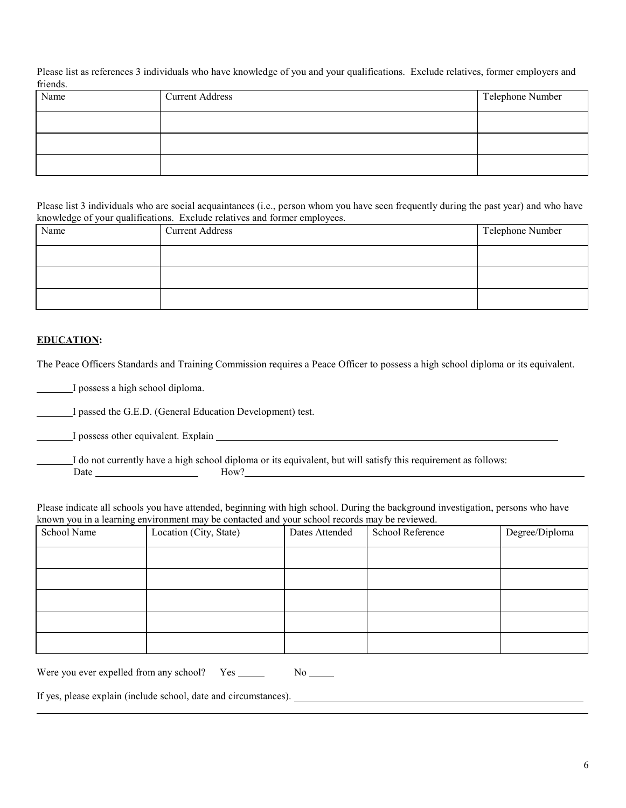Please list as references 3 individuals who have knowledge of you and your qualifications. Exclude relatives, former employers and friends.

| Name | <b>Current Address</b> | Telephone Number |
|------|------------------------|------------------|
|      |                        |                  |
|      |                        |                  |
|      |                        |                  |

Please list 3 individuals who are social acquaintances (i.e., person whom you have seen frequently during the past year) and who have knowledge of your qualifications. Exclude relatives and former employees.

| Name | <b>Current Address</b> | Telephone Number |
|------|------------------------|------------------|
|      |                        |                  |
|      |                        |                  |
|      |                        |                  |

#### **EDUCATION:**

The Peace Officers Standards and Training Commission requires a Peace Officer to possess a high school diploma or its equivalent.

I possess a high school diploma.

I passed the G.E.D. (General Education Development) test.

I possess other equivalent. Explain

I do not currently have a high school diploma or its equivalent, but will satisfy this requirement as follows: Date How?

Please indicate all schools you have attended, beginning with high school. During the background investigation, persons who have known you in a learning environment may be contacted and your school records may be reviewed.

| ັ<br>School Name | Location (City, State) | Dates Attended | School Reference | Degree/Diploma |
|------------------|------------------------|----------------|------------------|----------------|
|                  |                        |                |                  |                |
|                  |                        |                |                  |                |
|                  |                        |                |                  |                |
|                  |                        |                |                  |                |
|                  |                        |                |                  |                |

Were you ever expelled from any school?  $Yes \_$  No  $\_$ 

If yes, please explain (include school, date and circumstances).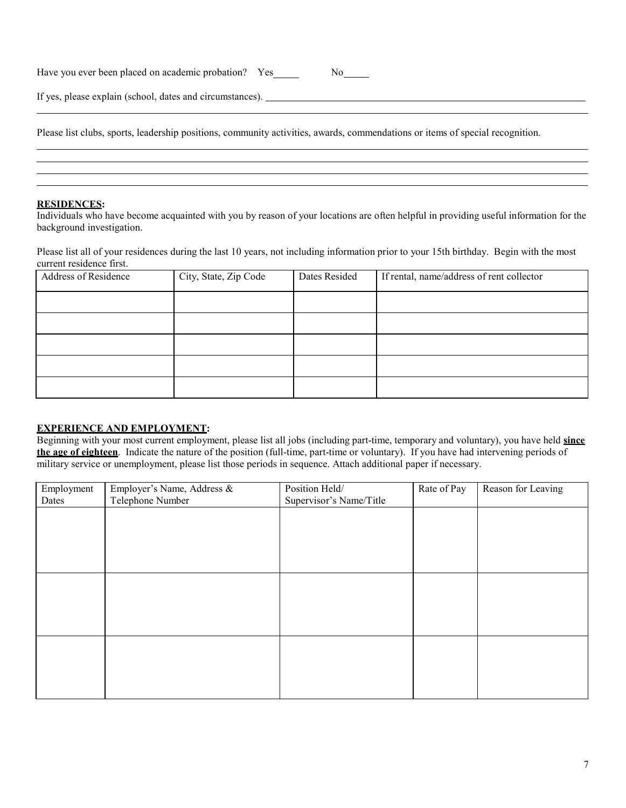Have you ever been placed on academic probation? Yes No

If yes, please explain (school, dates and circumstances).

Please list clubs, sports, leadership positions, community activities, awards, commendations or items of special recognition.

#### **RESIDENCES:**

Individuals who have become acquainted with you by reason of your locations are often helpful in providing useful information for the background investigation.

Please list all of your residences during the last 10 years, not including information prior to your 15th birthday. Begin with the most current residence first.

| Address of Residence | City, State, Zip Code | Dates Resided | If rental, name/address of rent collector |
|----------------------|-----------------------|---------------|-------------------------------------------|
|                      |                       |               |                                           |
|                      |                       |               |                                           |
|                      |                       |               |                                           |
|                      |                       |               |                                           |
|                      |                       |               |                                           |

#### **EXPERIENCE AND EMPLOYMENT:**

Beginning with your most current employment, please list all jobs (including part-time, temporary and voluntary), you have held **since the age of eighteen**. Indicate the nature of the position (full-time, part-time or voluntary). If you have had intervening periods of military service or unemployment, please list those periods in sequence. Attach additional paper if necessary.

| Employment<br>Dates | Employer's Name, Address &<br>Telephone Number | Position Held/<br>Supervisor's Name/Title | Rate of Pay | Reason for Leaving |
|---------------------|------------------------------------------------|-------------------------------------------|-------------|--------------------|
|                     |                                                |                                           |             |                    |
|                     |                                                |                                           |             |                    |
|                     |                                                |                                           |             |                    |
|                     |                                                |                                           |             |                    |
|                     |                                                |                                           |             |                    |
|                     |                                                |                                           |             |                    |
|                     |                                                |                                           |             |                    |
|                     |                                                |                                           |             |                    |
|                     |                                                |                                           |             |                    |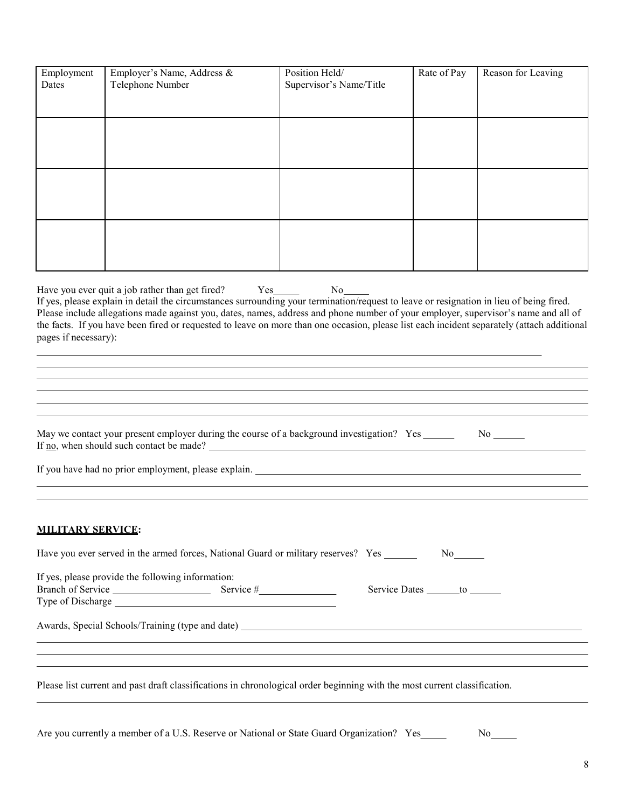| Employment<br>Dates      | Employer's Name, Address &<br>Telephone Number                                                                                                                                                                                                                                                                                                                                                                                                                                     | Position Held/<br>Supervisor's Name/Title | Rate of Pay                      | Reason for Leaving      |
|--------------------------|------------------------------------------------------------------------------------------------------------------------------------------------------------------------------------------------------------------------------------------------------------------------------------------------------------------------------------------------------------------------------------------------------------------------------------------------------------------------------------|-------------------------------------------|----------------------------------|-------------------------|
|                          |                                                                                                                                                                                                                                                                                                                                                                                                                                                                                    |                                           |                                  |                         |
|                          |                                                                                                                                                                                                                                                                                                                                                                                                                                                                                    |                                           |                                  |                         |
|                          |                                                                                                                                                                                                                                                                                                                                                                                                                                                                                    |                                           |                                  |                         |
|                          |                                                                                                                                                                                                                                                                                                                                                                                                                                                                                    |                                           |                                  |                         |
|                          |                                                                                                                                                                                                                                                                                                                                                                                                                                                                                    |                                           |                                  |                         |
|                          |                                                                                                                                                                                                                                                                                                                                                                                                                                                                                    |                                           |                                  |                         |
|                          |                                                                                                                                                                                                                                                                                                                                                                                                                                                                                    |                                           |                                  |                         |
|                          |                                                                                                                                                                                                                                                                                                                                                                                                                                                                                    |                                           |                                  |                         |
| pages if necessary):     | Have you ever quit a job rather than get fired? Yes<br>If yes, please explain in detail the circumstances surrounding your termination/request to leave or resignation in lieu of being fired.<br>Please include allegations made against you, dates, names, address and phone number of your employer, supervisor's name and all of<br>the facts. If you have been fired or requested to leave on more than one occasion, please list each incident separately (attach additional | No.                                       |                                  |                         |
|                          |                                                                                                                                                                                                                                                                                                                                                                                                                                                                                    |                                           |                                  |                         |
|                          |                                                                                                                                                                                                                                                                                                                                                                                                                                                                                    |                                           |                                  |                         |
|                          |                                                                                                                                                                                                                                                                                                                                                                                                                                                                                    |                                           |                                  |                         |
|                          | May we contact your present employer during the course of a background investigation? Yes _____<br>If $\underline{\text{no}}$ , when should such contact be made?                                                                                                                                                                                                                                                                                                                  |                                           |                                  | $No$ <sub>_______</sub> |
|                          |                                                                                                                                                                                                                                                                                                                                                                                                                                                                                    |                                           |                                  |                         |
| <b>MILITARY SERVICE:</b> |                                                                                                                                                                                                                                                                                                                                                                                                                                                                                    |                                           |                                  |                         |
|                          | Have you ever served in the armed forces, National Guard or military reserves? Yes                                                                                                                                                                                                                                                                                                                                                                                                 |                                           |                                  |                         |
|                          | If yes, please provide the following information:<br>Branch of Service Service Service #                                                                                                                                                                                                                                                                                                                                                                                           |                                           | Service Dates _______ to _______ |                         |
|                          | <u> 1989 - Johann Stoff, deutscher Stoff, der Stoff, der Stoff, der Stoff, der Stoff, der Stoff, der Stoff, der S</u>                                                                                                                                                                                                                                                                                                                                                              |                                           |                                  |                         |
|                          | ,我们也不会有什么。""我们的人,我们也不会有什么?""我们的人,我们也不会有什么?""我们的人,我们也不会有什么?""我们的人,我们也不会有什么?""我们的人                                                                                                                                                                                                                                                                                                                                                                                                   |                                           |                                  |                         |
|                          | Please list current and past draft classifications in chronological order beginning with the most current classification.                                                                                                                                                                                                                                                                                                                                                          |                                           |                                  |                         |
|                          |                                                                                                                                                                                                                                                                                                                                                                                                                                                                                    |                                           |                                  |                         |

Are you currently a member of a U.S. Reserve or National or State Guard Organization? Yes No No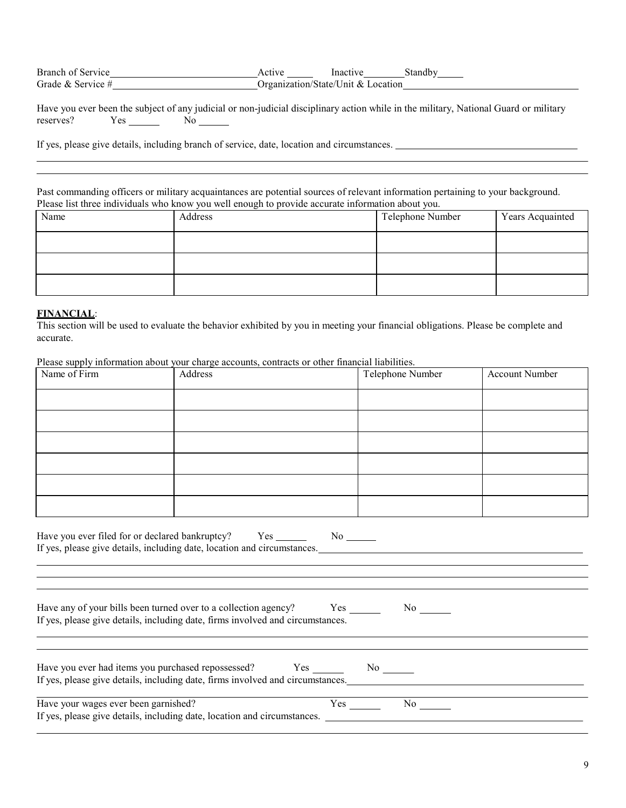| Branch of Service   | Active | Inactive                           | Standby |
|---------------------|--------|------------------------------------|---------|
| Grade & Service $#$ |        | Organization/State/Unit & Location |         |

|           |     | Have you ever been the subject of any judicial or non-judicial disciplinary action while in the military, National Guard or military |  |  |  |  |
|-----------|-----|--------------------------------------------------------------------------------------------------------------------------------------|--|--|--|--|
| reserves? | Yes |                                                                                                                                      |  |  |  |  |

If yes, please give details, including branch of service, date, location and circumstances.

Past commanding officers or military acquaintances are potential sources of relevant information pertaining to your background. Please list three individuals who know you well enough to provide accurate information about you.

| Name | $\sim$ $\sim$<br>Address | Telephone Number | Years Acquainted |
|------|--------------------------|------------------|------------------|
|      |                          |                  |                  |
|      |                          |                  |                  |
|      |                          |                  |                  |

#### **FINANCIAL**:

This section will be used to evaluate the behavior exhibited by you in meeting your financial obligations. Please be complete and accurate.

| Name of Firm                         | Address                                                                        | Telephone Number                                                                                                                                             | <b>Account Number</b> |
|--------------------------------------|--------------------------------------------------------------------------------|--------------------------------------------------------------------------------------------------------------------------------------------------------------|-----------------------|
|                                      |                                                                                |                                                                                                                                                              |                       |
|                                      |                                                                                |                                                                                                                                                              |                       |
|                                      |                                                                                |                                                                                                                                                              |                       |
|                                      |                                                                                |                                                                                                                                                              |                       |
|                                      |                                                                                |                                                                                                                                                              |                       |
|                                      |                                                                                |                                                                                                                                                              |                       |
|                                      |                                                                                | If yes, please give details, including date, location and circumstances.<br>,我们也不会有什么。""我们的人,我们也不会有什么?""我们的人,我们也不会有什么?""我们的人,我们也不会有什么?""我们的人,我们也不会有什么?""我们的人 |                       |
|                                      | If yes, please give details, including date, firms involved and circumstances. | Have any of your bills been turned over to a collection agency? Yes No                                                                                       |                       |
|                                      |                                                                                | If yes, please give details, including date, firms involved and circumstances.                                                                               |                       |
| Have your wages ever been garnished? |                                                                                | $Yes$ No $\_\_$                                                                                                                                              |                       |

Please supply information about your charge accounts, contracts or other financial liabilities.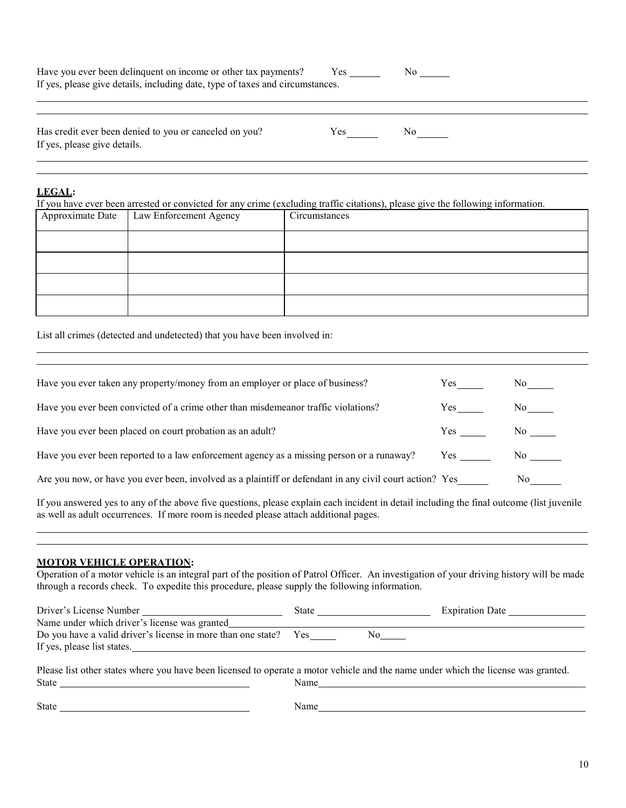| Have you ever been delinquent on income or other tax payments?                |  |
|-------------------------------------------------------------------------------|--|
| If yes, please give details, including date, type of taxes and circumstances. |  |
|                                                                               |  |

Has credit ever been denied to you or canceled on you? Yes No If yes, please give details.

#### **LEGAL:**

If you have ever been arrested or convicted for any crime (excluding traffic citations), please give the following information.

| Approximate Date   Law Enforcement Agency | Circumstances |
|-------------------------------------------|---------------|
|                                           |               |
|                                           |               |
|                                           |               |
|                                           |               |

List all crimes (detected and undetected) that you have been involved in:

| Have you ever taken any property/money from an employer or place of business?                           | Yes | No the set of the set of the set of the set of the set of the set of the set of the set of the set of the set of the set of the set of the set of the set of the set of the set of the set of the set of the set of the set of |
|---------------------------------------------------------------------------------------------------------|-----|--------------------------------------------------------------------------------------------------------------------------------------------------------------------------------------------------------------------------------|
| Have you ever been convicted of a crime other than misdemeanor traffic violations?                      | Yes | No results and the North States.                                                                                                                                                                                               |
| Have you ever been placed on court probation as an adult?                                               | Yes | No                                                                                                                                                                                                                             |
| Have you ever been reported to a law enforcement agency as a missing person or a runaway?               |     | No the set of the set of the set of the set of the set of the set of the set of the set of the set of the set of the set of the set of the set of the set of the set of the set of the set of the set of the set of the set of |
| Are you now, or have you ever been, involved as a plaintiff or defendant in any civil court action? Yes |     | No to the North Store                                                                                                                                                                                                          |

If you answered yes to any of the above five questions, please explain each incident in detail including the final outcome (list juvenile as well as adult occurrences. If more room is needed please attach additional pages.

#### **MOTOR VEHICLE OPERATION:**

Operation of a motor vehicle is an integral part of the position of Patrol Officer. An investigation of your driving history will be made through a records check. To expedite this procedure, please supply the following information.

| Driver's License Number                                          | State | <b>Expiration Date</b> |
|------------------------------------------------------------------|-------|------------------------|
| Name under which driver's license was granted                    |       |                        |
| Do you have a valid driver's license in more than one state? Yes |       |                        |
| If yes, please list states.                                      |       |                        |
|                                                                  |       |                        |

Please list other states where you have been licensed to operate a motor vehicle and the name under which the license was granted. State Name

State Name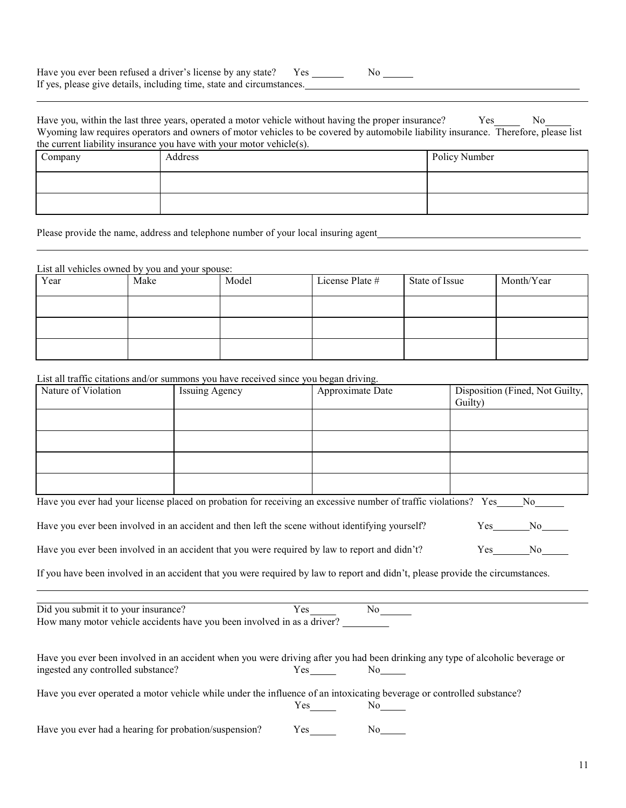| Have you ever been refused a driver's license by any state?           |  |  |
|-----------------------------------------------------------------------|--|--|
| If yes, please give details, including time, state and circumstances. |  |  |

| Have you, within the last three years, operated a motor vehicle without having the proper insurance?                                | Yes | No. |
|-------------------------------------------------------------------------------------------------------------------------------------|-----|-----|
| Wyoming law requires operators and owners of motor vehicles to be covered by automobile liability insurance. Therefore, please list |     |     |
| the current liability insurance you have with your motor vehicle(s).                                                                |     |     |

| Company | in the theory and the state of the state of the state of the state of the state of the state of the state of t<br>Address | Policy Number |
|---------|---------------------------------------------------------------------------------------------------------------------------|---------------|
|         |                                                                                                                           |               |
|         |                                                                                                                           |               |

Please provide the name, address and telephone number of your local insuring agent

#### List all vehicles owned by you and your spouse:

| Year | Make | Model | License Plate # | State of Issue | Month/Year |
|------|------|-------|-----------------|----------------|------------|
|      |      |       |                 |                |            |
|      |      |       |                 |                |            |
|      |      |       |                 |                |            |

#### List all traffic citations and/or summons you have received since you began driving.

| Nature of Violation | <b>Issuing Agency</b> | Approximate Date | Disposition (Fined, Not Guilty, |
|---------------------|-----------------------|------------------|---------------------------------|
|                     |                       |                  | Guilty)                         |
|                     |                       |                  |                                 |
|                     |                       |                  |                                 |
|                     |                       |                  |                                 |
|                     |                       |                  |                                 |
|                     |                       |                  |                                 |
|                     |                       |                  |                                 |
|                     |                       |                  |                                 |
|                     |                       |                  |                                 |

|  | Have you ever had your license placed on probation for receiving an excessive number of traffic violations? Yes | - No |  |
|--|-----------------------------------------------------------------------------------------------------------------|------|--|
|  |                                                                                                                 |      |  |

Have you ever been involved in an accident and then left the scene without identifying yourself? Yes No

Have you ever been involved in an accident that you were required by law to report and didn't? Yes No

If you have been involved in an accident that you were required by law to report and didn't, please provide the circumstances.

Did you submit it to your insurance? The Yes No How many motor vehicle accidents have you been involved in as a driver?

| Have you ever been involved in an accident when you were driving after you had been drinking any type of alcoholic beverage or |      |     |  |
|--------------------------------------------------------------------------------------------------------------------------------|------|-----|--|
| ingested any controlled substance?                                                                                             | Yes. | No. |  |

Have you ever operated a motor vehicle while under the influence of an intoxicating beverage or controlled substance?

| Y<br>эs | N٥<br>ľ<br>$\sim$ |
|---------|-------------------|
|---------|-------------------|

Have you ever had a hearing for probation/suspension? Yes No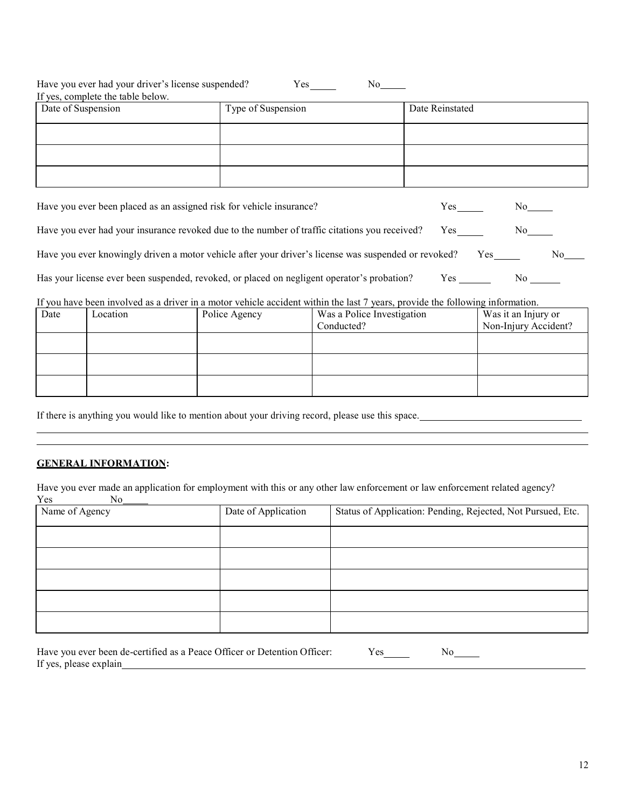| Have you ever had your driver's license suspended?<br>Yes<br>No-<br>If yes, complete the table below. |                    |                 |  |  |  |  |
|-------------------------------------------------------------------------------------------------------|--------------------|-----------------|--|--|--|--|
| Date of Suspension                                                                                    | Type of Suspension | Date Reinstated |  |  |  |  |
|                                                                                                       |                    |                 |  |  |  |  |
|                                                                                                       |                    |                 |  |  |  |  |
|                                                                                                       |                    |                 |  |  |  |  |

| Have you ever been placed as an assigned risk for vehicle insurance?                                 | Yes  | N٥   |  |
|------------------------------------------------------------------------------------------------------|------|------|--|
| Have you ever had your insurance revoked due to the number of traffic citations you received?        | Yes. | No l |  |
| Have you ever knowingly driven a motor vehicle after your driver's license was suspended or revoked? | Yes  | No.  |  |
| Has your license ever been suspended, revoked, or placed on negligent operator's probation?          | Yes  | No.  |  |

#### If you have been involved as a driver in a motor vehicle accident within the last 7 years, provide the following information.

| Date | Location | Police Agency | Was a Police Investigation<br>Conducted? | Was it an Injury or<br>Non-Injury Accident? |
|------|----------|---------------|------------------------------------------|---------------------------------------------|
|      |          |               |                                          |                                             |
|      |          |               |                                          |                                             |
|      |          |               |                                          |                                             |

If there is anything you would like to mention about your driving record, please use this space.

#### **GENERAL INFORMATION:**

Have you ever made an application for employment with this or any other law enforcement or law enforcement related agency? Yes

| Name of Agency | Date of Application | Status of Application: Pending, Rejected, Not Pursued, Etc. |
|----------------|---------------------|-------------------------------------------------------------|
|                |                     |                                                             |
|                |                     |                                                             |
|                |                     |                                                             |
|                |                     |                                                             |
|                |                     |                                                             |

| Have you ever been de-certified as a Peace Officer or Detention Officer: | Yes | Nο |
|--------------------------------------------------------------------------|-----|----|
| If yes, please explain                                                   |     |    |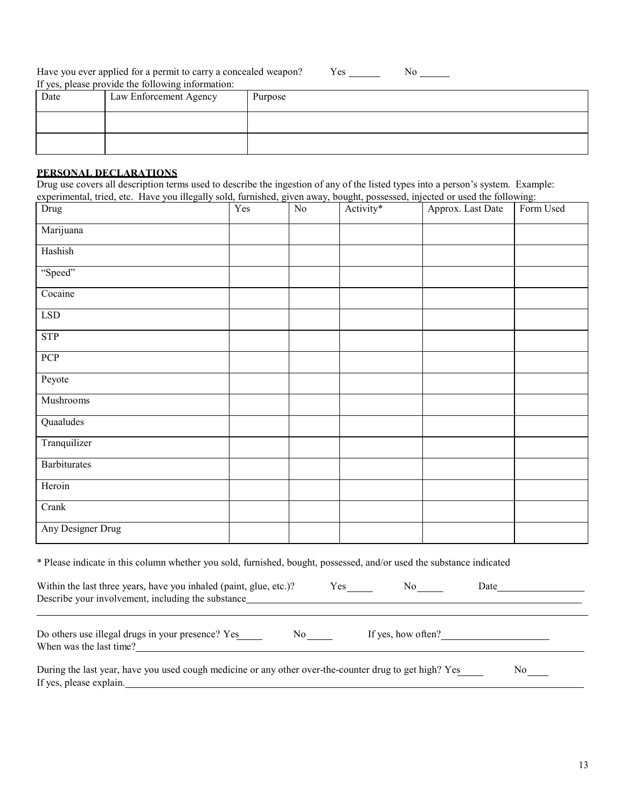Have you ever applied for a permit to carry a concealed weapon? Yes \_\_\_\_\_\_ If yes, please provide the following information: No

| Date | Law Enforcement Agency | Purpose |
|------|------------------------|---------|
|      |                        |         |
|      |                        |         |

#### **PERSONAL DECLARATIONS**

Drug use covers all description terms used to describe the ingestion of any of the listed types into a person's system. Example: experimental, tried, etc. Have you illegally sold, furnished, given away, bought, possessed, injected or used the following:

| experimental, tribal, etc. Trave you megany sorial, furthermore, given away, obagine, possessed, injection of asea the following.<br>Drug | Yes | $\overline{No}$ | Activity* | Approx. Last Date | Form Used |
|-------------------------------------------------------------------------------------------------------------------------------------------|-----|-----------------|-----------|-------------------|-----------|
| Marijuana                                                                                                                                 |     |                 |           |                   |           |
| Hashish                                                                                                                                   |     |                 |           |                   |           |
| "Speed"                                                                                                                                   |     |                 |           |                   |           |
| Cocaine                                                                                                                                   |     |                 |           |                   |           |
| <b>LSD</b>                                                                                                                                |     |                 |           |                   |           |
| <b>STP</b>                                                                                                                                |     |                 |           |                   |           |
| PCP                                                                                                                                       |     |                 |           |                   |           |
| Peyote                                                                                                                                    |     |                 |           |                   |           |
| Mushrooms                                                                                                                                 |     |                 |           |                   |           |
| Quaaludes                                                                                                                                 |     |                 |           |                   |           |
| Tranquilizer                                                                                                                              |     |                 |           |                   |           |
| Barbiturates                                                                                                                              |     |                 |           |                   |           |
| Heroin                                                                                                                                    |     |                 |           |                   |           |
| Crank                                                                                                                                     |     |                 |           |                   |           |
| Any Designer Drug                                                                                                                         |     |                 |           |                   |           |

\* Please indicate in this column whether you sold, furnished, bought, possessed, and/or used the substance indicated

| Within the last three years, have you inhaled (paint, glue, etc.)?<br>Describe your involvement, including the substance | Yes. | Nο                 | Date |
|--------------------------------------------------------------------------------------------------------------------------|------|--------------------|------|
|                                                                                                                          |      |                    |      |
| Do others use illegal drugs in your presence? Yes                                                                        | Nο   | If yes, how often? |      |

When was the last time?

| During the last year, have you used cough medicine or any other over-the-counter drug to get high? Yes |  |
|--------------------------------------------------------------------------------------------------------|--|
| If yes, please explain.                                                                                |  |